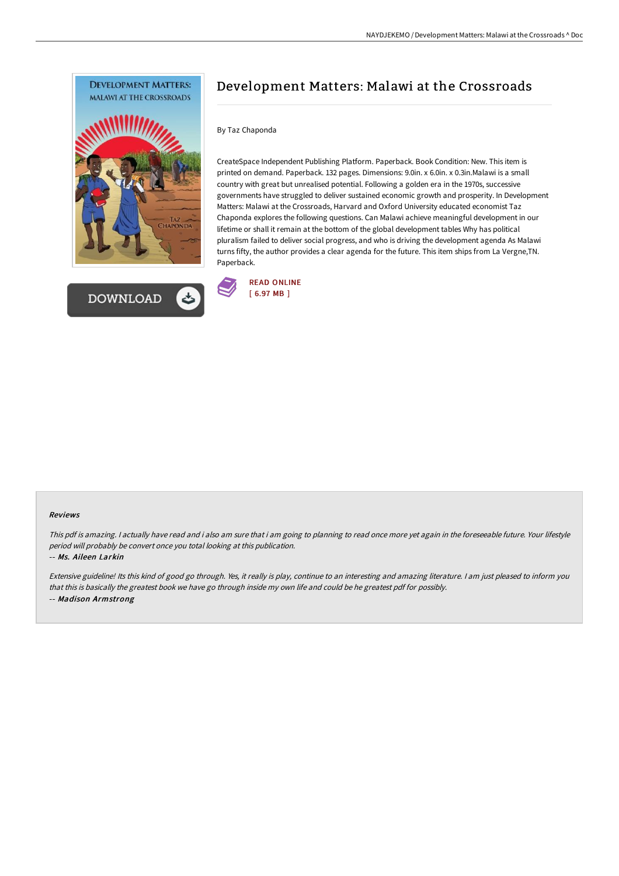



# Development Matters: Malawi at the Crossroads

### By Taz Chaponda

CreateSpace Independent Publishing Platform. Paperback. Book Condition: New. This item is printed on demand. Paperback. 132 pages. Dimensions: 9.0in. x 6.0in. x 0.3in.Malawi is a small country with great but unrealised potential. Following a golden era in the 1970s, successive governments have struggled to deliver sustained economic growth and prosperity. In Development Matters: Malawi at the Crossroads, Harvard and Oxford University educated economist Taz Chaponda explores the following questions. Can Malawi achieve meaningful development in our lifetime or shall it remain at the bottom of the global development tables Why has political pluralism failed to deliver social progress, and who is driving the development agenda As Malawi turns fifty, the author provides a clear agenda for the future. This item ships from La Vergne,TN. Paperback.



#### Reviews

This pdf is amazing. I actually have read and i also am sure that i am going to planning to read once more yet again in the foreseeable future. Your lifestyle period will probably be convert once you total looking at this publication.

-- Ms. Aileen Larkin

Extensive guideline! Its this kind of good go through. Yes, it really is play, continue to an interesting and amazing literature. <sup>I</sup> am just pleased to inform you that this is basically the greatest book we have go through inside my own life and could be he greatest pdf for possibly. -- Madison Armstrong